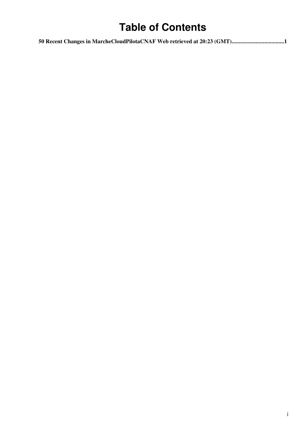# **Table of Contents**

|  | 50 Recent Changes in MarcheCloudPilotaCNAF Web retrieved at 20:23 (GMT)1 |
|--|--------------------------------------------------------------------------|
|--|--------------------------------------------------------------------------|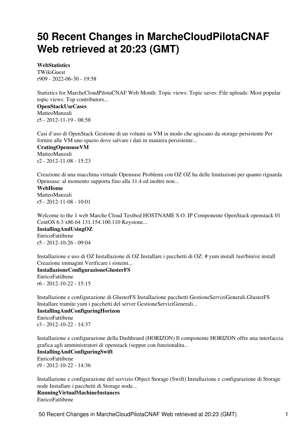# <span id="page-1-0"></span>**50 Recent Changes in MarcheCloudPilotaCNAF Web retrieved at 20:23 (GMT)**

**[WebStatistics](https://wiki-igi.cnaf.infn.it/twiki/bin/view/MarcheCloudPilotaCNAF/WebStatistics)**

**[TWikiGuest](https://wiki-igi.cnaf.infn.it/twiki/bin/view/Main/TWikiGuest)** r909 - [2022-06-30 - 19:58](https://wiki-igi.cnaf.infn.it/twiki/bin/rdiff/MarcheCloudPilotaCNAF/WebStatistics) 

Statistics for MarcheCloudPilotaCNAF Web Month: Topic views: Topic saves: File uploads: Most popular topic views: Top contributors... **[OpenStackUseCases](https://wiki-igi.cnaf.infn.it/twiki/bin/view/MarcheCloudPilotaCNAF/OpenStackUseCases)** [MatteoManzali](https://wiki-igi.cnaf.infn.it/twiki/bin/view/Main/MatteoManzali)

r5 - [2012-11-19 - 08:58](https://wiki-igi.cnaf.infn.it/twiki/bin/rdiff/MarcheCloudPilotaCNAF/OpenStackUseCases) 

Casi d`uso di OpenStack Gestione di un volumi su VM in modo che agiscano da storage persistente Per fornire alle VM uno spazio dove salvare i dati in maniera persistente...

**[CratingOpensuseVM](https://wiki-igi.cnaf.infn.it/twiki/bin/view/MarcheCloudPilotaCNAF/CratingOpensuseVM)** [MatteoManzali](https://wiki-igi.cnaf.infn.it/twiki/bin/view/Main/MatteoManzali) r2 - [2012-11-08 - 15:23](https://wiki-igi.cnaf.infn.it/twiki/bin/rdiff/MarcheCloudPilotaCNAF/CratingOpensuseVM) 

Creazione di una macchina virtuale Opensuse Problemi con OZ OZ ha delle limitazioni per quanto riguarda Opensuse: al momento supporta fino alla 11.4 ed inoltre non...

**[WebHome](https://wiki-igi.cnaf.infn.it/twiki/bin/view/MarcheCloudPilotaCNAF/WebHome)**

[MatteoManzali](https://wiki-igi.cnaf.infn.it/twiki/bin/view/Main/MatteoManzali)  $r5 - 2012 - 11 - 08 - 10.01$ 

Welcome to the 1 web Marche Cloud Testbed HOSTNAME S.O. IP Componente OpenStack openstack 01 CentOS 6.3 x86 64 131.154.100.110 Keystone... **[InstallingAndUsingOZ](https://wiki-igi.cnaf.infn.it/twiki/bin/view/MarcheCloudPilotaCNAF/InstallingAndUsingOZ)**

[EnricoFattibene](https://wiki-igi.cnaf.infn.it/twiki/bin/view/Main/EnricoFattibene) r5 - [2012-10-26 - 09:04](https://wiki-igi.cnaf.infn.it/twiki/bin/rdiff/MarcheCloudPilotaCNAF/InstallingAndUsingOZ) 

Installazione e uso di OZ Installazione di OZ Installare i pacchetti di OZ: # yum install /usr/bin/oz install Creazione immagini Verificare i sistemi...

**[InstallazioneConfigurazioneGlusterFS](https://wiki-igi.cnaf.infn.it/twiki/bin/view/MarcheCloudPilotaCNAF/InstallazioneConfigurazioneGlusterFS)** [EnricoFattibene](https://wiki-igi.cnaf.infn.it/twiki/bin/view/Main/EnricoFattibene)

r6 - [2012-10-22 - 15:15](https://wiki-igi.cnaf.infn.it/twiki/bin/rdiff/MarcheCloudPilotaCNAF/InstallazioneConfigurazioneGlusterFS) 

Installazione e configurazione di GlusterFS Installazione pacchetti GestioneServiziGenerali.GlusterFS Installare tramite yum i pacchetti del server GestioneServiziGenerali...

**[InstallingAndConfiguringHorizon](https://wiki-igi.cnaf.infn.it/twiki/bin/view/MarcheCloudPilotaCNAF/InstallingAndConfiguringHorizon)** [EnricoFattibene](https://wiki-igi.cnaf.infn.it/twiki/bin/view/Main/EnricoFattibene) r3 - [2012-10-22 - 14:37](https://wiki-igi.cnaf.infn.it/twiki/bin/rdiff/MarcheCloudPilotaCNAF/InstallingAndConfiguringHorizon) 

Installazione e configurazione della Dashboard (HORIZON) Il componente HORIZON offre una interfaccia grafica agli amministratori di openstack (seppur con funzionalita...

**[InstallingAndConfiguringSwift](https://wiki-igi.cnaf.infn.it/twiki/bin/view/MarcheCloudPilotaCNAF/InstallingAndConfiguringSwift)** [EnricoFattibene](https://wiki-igi.cnaf.infn.it/twiki/bin/view/Main/EnricoFattibene) r9 - [2012-10-22 - 14:36](https://wiki-igi.cnaf.infn.it/twiki/bin/rdiff/MarcheCloudPilotaCNAF/InstallingAndConfiguringSwift) 

Installazione e configurazione del servizio Object Storage (Swift) Installazione e configurazione di Storage node Installare i pacchetti di Storage node...

**[RunningVirtualMachineInstances](https://wiki-igi.cnaf.infn.it/twiki/bin/view/MarcheCloudPilotaCNAF/RunningVirtualMachineInstances)** [EnricoFattibene](https://wiki-igi.cnaf.infn.it/twiki/bin/view/Main/EnricoFattibene)

50 Recent Changes in MarcheCloudPilotaCNAF Web retrieved at 20:23 (GMT) 1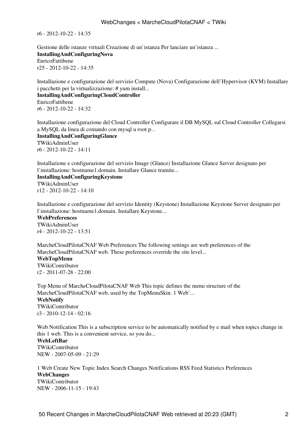$r6 - 2012 - 10 - 22 - 14.35$ 

Gestione delle istanze virtuali Creazione di un`istanza Per lanciare un`istanza ... **[InstallingAndConfiguringNova](https://wiki-igi.cnaf.infn.it/twiki/bin/view/MarcheCloudPilotaCNAF/InstallingAndConfiguringNova)** [EnricoFattibene](https://wiki-igi.cnaf.infn.it/twiki/bin/view/Main/EnricoFattibene) r25 - [2012-10-22 - 14:35](https://wiki-igi.cnaf.infn.it/twiki/bin/rdiff/MarcheCloudPilotaCNAF/InstallingAndConfiguringNova)

Installazione e configurazione del servizio Compute (Nova) Configurazione dell`Hypervisor (KVM) Installare i pacchetti per la virtualizzazione: # yum install... **[InstallingAndConfiguringCloudController](https://wiki-igi.cnaf.infn.it/twiki/bin/view/MarcheCloudPilotaCNAF/InstallingAndConfiguringCloudController)** [EnricoFattibene](https://wiki-igi.cnaf.infn.it/twiki/bin/view/Main/EnricoFattibene)

r6 - [2012-10-22 - 14:32](https://wiki-igi.cnaf.infn.it/twiki/bin/rdiff/MarcheCloudPilotaCNAF/InstallingAndConfiguringCloudController) 

Installazione configurazione del Cloud Controller Configurare il DB MySQL sul Cloud Controller Collegarsi a MySQL da linea di comando con mysql u root p... **[InstallingAndConfiguringGlance](https://wiki-igi.cnaf.infn.it/twiki/bin/view/MarcheCloudPilotaCNAF/InstallingAndConfiguringGlance)** [TWikiAdminUser](https://wiki-igi.cnaf.infn.it/twiki/bin/view/Main/TWikiAdminUser) r6 - [2012-10-22 - 14:11](https://wiki-igi.cnaf.infn.it/twiki/bin/rdiff/MarcheCloudPilotaCNAF/InstallingAndConfiguringGlance) 

Installazione e configurazione del servizio Image (Glance) Installazione Glance Server designato per l`installazione: hostname1.domain. Installare Glance tramite...

## **[InstallingAndConfiguringKeystone](https://wiki-igi.cnaf.infn.it/twiki/bin/view/MarcheCloudPilotaCNAF/InstallingAndConfiguringKeystone)**

[TWikiAdminUser](https://wiki-igi.cnaf.infn.it/twiki/bin/view/Main/TWikiAdminUser) r12 - [2012-10-22 - 14:10](https://wiki-igi.cnaf.infn.it/twiki/bin/rdiff/MarcheCloudPilotaCNAF/InstallingAndConfiguringKeystone)

Installazione e configurazione del servizio Identity (Keystone) Installazione Keystone Server designato per l`installazione: hostname1.domain. Installare Keystone...

**[WebPreferences](https://wiki-igi.cnaf.infn.it/twiki/bin/view/MarcheCloudPilotaCNAF/WebPreferences)**

[TWikiAdminUser](https://wiki-igi.cnaf.infn.it/twiki/bin/view/Main/TWikiAdminUser) r4 - [2012-10-22 - 13:51](https://wiki-igi.cnaf.infn.it/twiki/bin/rdiff/MarcheCloudPilotaCNAF/WebPreferences) 

MarcheCloudPilotaCNAF Web Preferences The following settings are web preferences of the MarcheCloudPilotaCNAF web. These preferences override the site level...

## **[WebTopMenu](https://wiki-igi.cnaf.infn.it/twiki/bin/view/MarcheCloudPilotaCNAF/WebTopMenu)**

[TWikiContributor](https://wiki-igi.cnaf.infn.it/twiki/bin/view/Main/TWikiContributor) r2 - [2011-07-28 - 22:00](https://wiki-igi.cnaf.infn.it/twiki/bin/rdiff/MarcheCloudPilotaCNAF/WebTopMenu) 

Top Menu of MarcheCloudPilotaCNAF Web This topic defines the menu structure of the MarcheCloudPilotaCNAF web, used by the TopMenuSkin. 1 Web`... **[WebNotify](https://wiki-igi.cnaf.infn.it/twiki/bin/view/MarcheCloudPilotaCNAF/WebNotify)** [TWikiContributor](https://wiki-igi.cnaf.infn.it/twiki/bin/view/Main/TWikiContributor) r3 - [2010-12-14 - 02:16](https://wiki-igi.cnaf.infn.it/twiki/bin/rdiff/MarcheCloudPilotaCNAF/WebNotify) 

Web Notification This is a subscription service to be automatically notified by e mail when topics change in this 1 web. This is a convenient service, so you do...

**[WebLeftBar](https://wiki-igi.cnaf.infn.it/twiki/bin/view/MarcheCloudPilotaCNAF/WebLeftBar)** [TWikiContributor](https://wiki-igi.cnaf.infn.it/twiki/bin/view/Main/TWikiContributor) NEW - [2007-05-09 - 21:29](https://wiki-igi.cnaf.infn.it/twiki/bin/rdiff/MarcheCloudPilotaCNAF/WebLeftBar) 

1 Web Create New Topic Index Search Changes Notifications RSS Feed Statistics Preferences **WebChanges** [TWikiContributor](https://wiki-igi.cnaf.infn.it/twiki/bin/view/Main/TWikiContributor) NEW - [2006-11-15 - 19:43](https://wiki-igi.cnaf.infn.it/twiki/bin/rdiff/MarcheCloudPilotaCNAF/WebChanges)